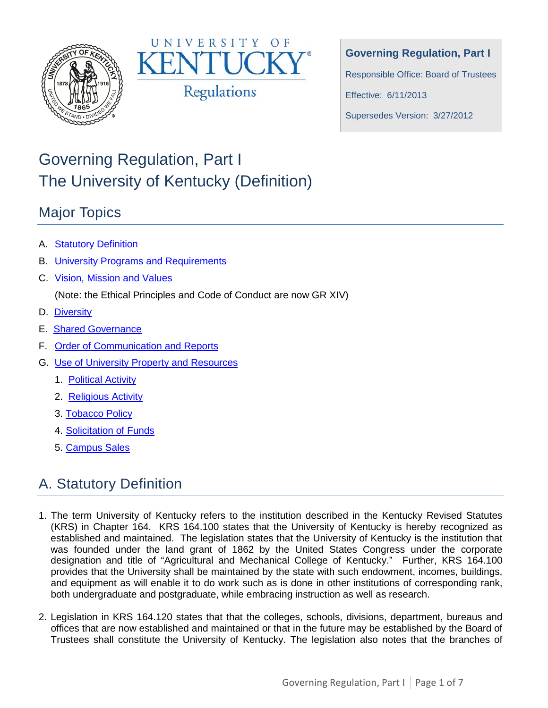



**Governing Regulation, Part I**

Responsible Office: Board of Trustees

Effective: 6/11/2013

Supersedes Version: 3/27/2012

# Governing Regulation, Part I The University of Kentucky (Definition)

# Major Topics

- A. [Statutory Definition](#page-0-0)
- B. [University Programs and Requirements](#page-2-0)
- C. [Vision, Mission and Values](#page-2-1)

(Note: the Ethical Principles and Code of Conduct are now GR XIV)

- D. [Diversity](#page-3-0)
- E. [Shared Governance](#page-3-1)
- F. [Order of Communication and Reports](#page-4-0)
- G. [Use of University Property and Resources](#page-4-1)
	- 1. [Political Activity](#page-4-2)
	- 2. [Religious Activity](#page-5-0)
	- 3. [Tobacco Policy](#page-5-1)
	- 4. [Solicitation of Funds](#page-5-2)
	- 5. [Campus Sales](#page-6-0)

# <span id="page-0-0"></span>A. Statutory Definition

- 1. The term University of Kentucky refers to the institution described in the Kentucky Revised Statutes (KRS) in Chapter 164. KRS 164.100 states that the University of Kentucky is hereby recognized as established and maintained. The legislation states that the University of Kentucky is the institution that was founded under the land grant of 1862 by the United States Congress under the corporate designation and title of "Agricultural and Mechanical College of Kentucky." Further, KRS 164.100 provides that the University shall be maintained by the state with such endowment, incomes, buildings, and equipment as will enable it to do work such as is done in other institutions of corresponding rank, both undergraduate and postgraduate, while embracing instruction as well as research.
- 2. Legislation in KRS 164.120 states that that the colleges, schools, divisions, department, bureaus and offices that are now established and maintained or that in the future may be established by the Board of Trustees shall constitute the University of Kentucky. The legislation also notes that the branches of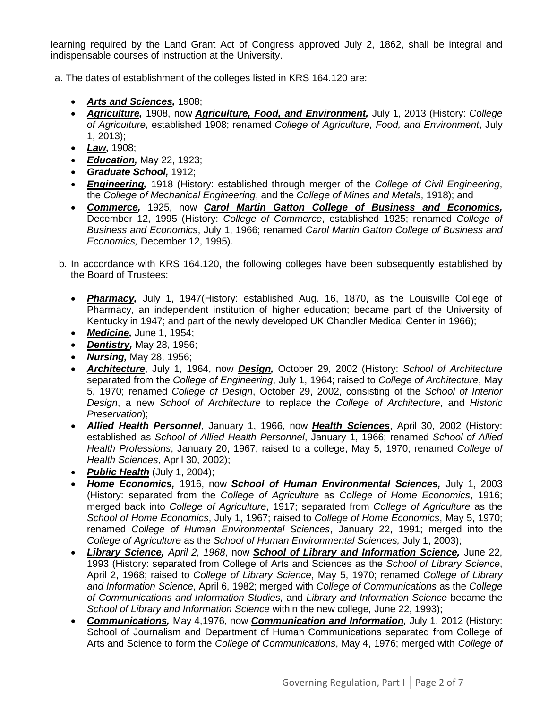learning required by the Land Grant Act of Congress approved July 2, 1862, shall be integral and indispensable courses of instruction at the University.

a. The dates of establishment of the colleges listed in KRS 164.120 are:

- *Arts and Sciences,* 1908;
- *Agriculture,* 1908, now *Agriculture, Food, and Environment,* July 1, 2013 (History: *College of Agriculture*, established 1908; renamed *College of Agriculture, Food, and Environment*, July 1, 2013);
- *Law,* 1908;
- *Education,* May 22, 1923;
- *Graduate School,* 1912;
- *Engineering,* 1918 (History: established through merger of the *College of Civil Engineering*, the *College of Mechanical Engineering*, and the *College of Mines and Metals*, 1918); and
- *Commerce,* 1925, now *Carol Martin Gatton College of Business and Economics,*  December 12, 1995 (History: *College of Commerce*, established 1925; renamed *College of Business and Economics*, July 1, 1966; renamed *Carol Martin Gatton College of Business and Economics,* December 12, 1995).
- b. In accordance with KRS 164.120, the following colleges have been subsequently established by the Board of Trustees:
	- *Pharmacy,* July 1, 1947(History: established Aug. 16, 1870, as the Louisville College of Pharmacy, an independent institution of higher education; became part of the University of Kentucky in 1947; and part of the newly developed UK Chandler Medical Center in 1966);
	- *Medicine,* June 1, 1954;
	- *Dentistry,* May 28, 1956;
	- *Nursing,* May 28, 1956;
	- *Architecture*, July 1, 1964, now *Design,* October 29, 2002 (History: *School of Architecture* separated from the *College of Engineering*, July 1, 1964; raised to *College of Architecture*, May 5, 1970; renamed *College of Design*, October 29, 2002, consisting of the *School of Interior Design*, a new *School of Architecture* to replace the *College of Architecture*, and *Historic Preservation*);
	- *Allied Health Personnel*, January 1, 1966, now *Health Sciences*, April 30, 2002 (History: established as *School of Allied Health Personnel*, January 1, 1966; renamed *School of Allied Health Professions*, January 20, 1967; raised to a college, May 5, 1970; renamed *College of Health Sciences*, April 30, 2002);
	- **Public Health** (July 1, 2004);
	- *Home Economics,* 1916, now *School of Human Environmental Sciences,* July 1, 2003 (History: separated from the *College of Agriculture* as *College of Home Economics*, 1916; merged back into *College of Agriculture*, 1917; separated from *College of Agriculture* as the *School of Home Economics*, July 1, 1967; raised to *College of Home Economics*, May 5, 1970; renamed *College of Human Environmental Sciences*, January 22, 1991; merged into the *College of Agriculture* as the *School of Human Environmental Sciences,* July 1, 2003);
	- *Library Science, April 2, 1968*, now *School of Library and Information Science,* June 22, 1993 (History: separated from College of Arts and Sciences as the *School of Library Science*, April 2, 1968; raised to *College of Library Science*, May 5, 1970; renamed *College of Library and Information Science*, April 6, 1982; merged with *College of Communications* as the *College of Communications and Information Studies,* and *Library and Information Science* became the *School of Library and Information Science* within the new college*,* June 22, 1993);
	- *Communications,* May 4,1976, now *Communication and Information,* July 1, 2012 (History: School of Journalism and Department of Human Communications separated from College of Arts and Science to form the *College of Communications*, May 4, 1976; merged with *College of*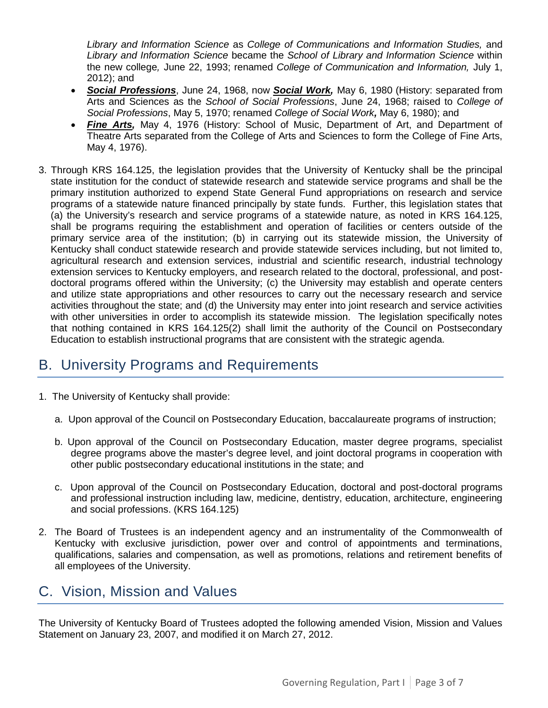*Library and Information Science* as *College of Communications and Information Studies,* and *Library and Information Science* became the *School of Library and Information Science* within the new college*,* June 22, 1993; renamed *College of Communication and Information,* July 1, 2012); and

- *Social Professions*, June 24, 1968, now *Social Work,* May 6, 1980 (History: separated from Arts and Sciences as the *School of Social Professions*, June 24, 1968; raised to *College of Social Professions*, May 5, 1970; renamed *College of Social Work,* May 6, 1980); and
- *Fine Arts,* May 4, 1976 (History: School of Music, Department of Art, and Department of Theatre Arts separated from the College of Arts and Sciences to form the College of Fine Arts, May 4, 1976).
- 3. Through KRS 164.125, the legislation provides that the University of Kentucky shall be the principal state institution for the conduct of statewide research and statewide service programs and shall be the primary institution authorized to expend State General Fund appropriations on research and service programs of a statewide nature financed principally by state funds. Further, this legislation states that (a) the University's research and service programs of a statewide nature, as noted in KRS 164.125, shall be programs requiring the establishment and operation of facilities or centers outside of the primary service area of the institution; (b) in carrying out its statewide mission, the University of Kentucky shall conduct statewide research and provide statewide services including, but not limited to, agricultural research and extension services, industrial and scientific research, industrial technology extension services to Kentucky employers, and research related to the doctoral, professional, and postdoctoral programs offered within the University; (c) the University may establish and operate centers and utilize state appropriations and other resources to carry out the necessary research and service activities throughout the state; and (d) the University may enter into joint research and service activities with other universities in order to accomplish its statewide mission. The legislation specifically notes that nothing contained in KRS 164.125(2) shall limit the authority of the Council on Postsecondary Education to establish instructional programs that are consistent with the strategic agenda.

# <span id="page-2-0"></span>B. University Programs and Requirements

- 1. The University of Kentucky shall provide:
	- a. Upon approval of the Council on Postsecondary Education, baccalaureate programs of instruction;
	- b. Upon approval of the Council on Postsecondary Education, master degree programs, specialist degree programs above the master's degree level, and joint doctoral programs in cooperation with other public postsecondary educational institutions in the state; and
	- c. Upon approval of the Council on Postsecondary Education, doctoral and post-doctoral programs and professional instruction including law, medicine, dentistry, education, architecture, engineering and social professions. (KRS 164.125)
- 2. The Board of Trustees is an independent agency and an instrumentality of the Commonwealth of Kentucky with exclusive jurisdiction, power over and control of appointments and terminations, qualifications, salaries and compensation, as well as promotions, relations and retirement benefits of all employees of the University.

### <span id="page-2-1"></span>C. Vision, Mission and Values

The University of Kentucky Board of Trustees adopted the following amended Vision, Mission and Values Statement on January 23, 2007, and modified it on March 27, 2012.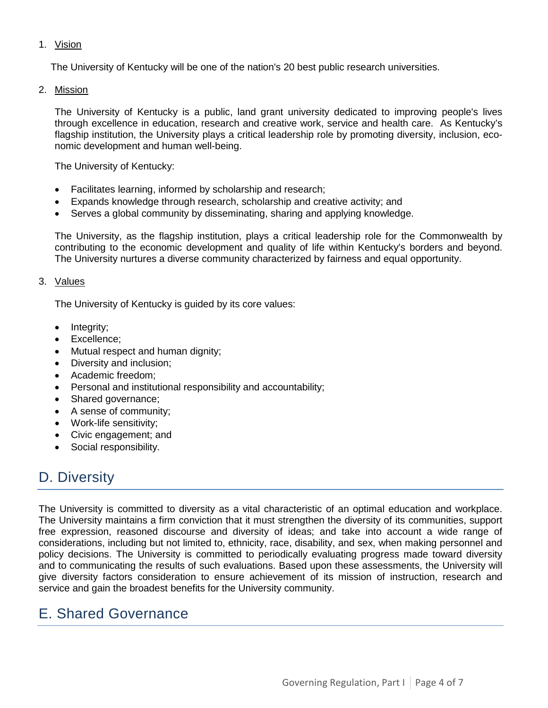#### 1. Vision

The University of Kentucky will be one of the nation's 20 best public research universities.

2. Mission

The University of Kentucky is a public, land grant university dedicated to improving people's lives through excellence in education, research and creative work, service and health care. As Kentucky's flagship institution, the University plays a critical leadership role by promoting diversity, inclusion, economic development and human well-being.

The University of Kentucky:

- Facilitates learning, informed by scholarship and research;
- Expands knowledge through research, scholarship and creative activity; and
- Serves a global community by disseminating, sharing and applying knowledge.

The University, as the flagship institution, plays a critical leadership role for the Commonwealth by contributing to the economic development and quality of life within Kentucky's borders and beyond. The University nurtures a diverse community characterized by fairness and equal opportunity.

#### 3. Values

The University of Kentucky is guided by its core values:

- Integrity;
- Excellence;
- Mutual respect and human dignity;
- Diversity and inclusion;
- Academic freedom;
- Personal and institutional responsibility and accountability;
- Shared governance;
- A sense of community;
- Work-life sensitivity;
- Civic engagement; and
- Social responsibility.

### <span id="page-3-0"></span>D. Diversity

The University is committed to diversity as a vital characteristic of an optimal education and workplace. The University maintains a firm conviction that it must strengthen the diversity of its communities, support free expression, reasoned discourse and diversity of ideas; and take into account a wide range of considerations, including but not limited to, ethnicity, race, disability, and sex, when making personnel and policy decisions. The University is committed to periodically evaluating progress made toward diversity and to communicating the results of such evaluations. Based upon these assessments, the University will give diversity factors consideration to ensure achievement of its mission of instruction, research and service and gain the broadest benefits for the University community.

### <span id="page-3-1"></span>E. Shared Governance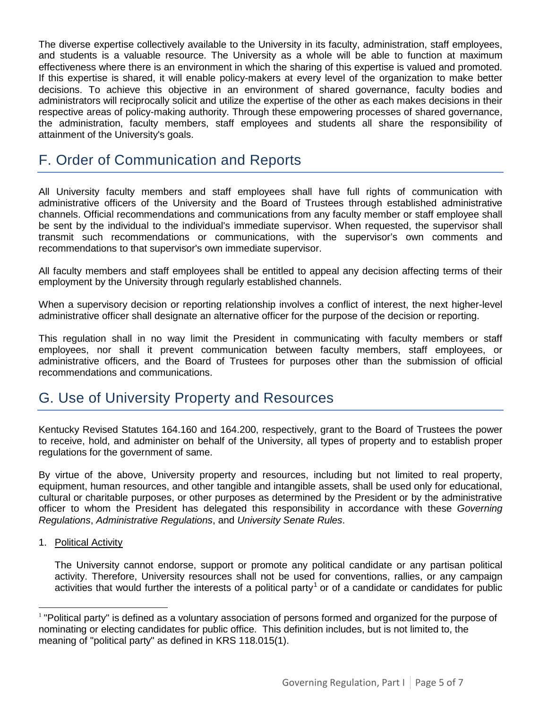The diverse expertise collectively available to the University in its faculty, administration, staff employees, and students is a valuable resource. The University as a whole will be able to function at maximum effectiveness where there is an environment in which the sharing of this expertise is valued and promoted. If this expertise is shared, it will enable policy-makers at every level of the organization to make better decisions. To achieve this objective in an environment of shared governance, faculty bodies and administrators will reciprocally solicit and utilize the expertise of the other as each makes decisions in their respective areas of policy-making authority. Through these empowering processes of shared governance, the administration, faculty members, staff employees and students all share the responsibility of attainment of the University's goals.

## <span id="page-4-0"></span>F. Order of Communication and Reports

All University faculty members and staff employees shall have full rights of communication with administrative officers of the University and the Board of Trustees through established administrative channels. Official recommendations and communications from any faculty member or staff employee shall be sent by the individual to the individual's immediate supervisor. When requested, the supervisor shall transmit such recommendations or communications, with the supervisor's own comments and recommendations to that supervisor's own immediate supervisor.

All faculty members and staff employees shall be entitled to appeal any decision affecting terms of their employment by the University through regularly established channels.

When a supervisory decision or reporting relationship involves a conflict of interest, the next higher-level administrative officer shall designate an alternative officer for the purpose of the decision or reporting.

This regulation shall in no way limit the President in communicating with faculty members or staff employees, nor shall it prevent communication between faculty members, staff employees, or administrative officers, and the Board of Trustees for purposes other than the submission of official recommendations and communications.

### <span id="page-4-1"></span>G. Use of University Property and Resources

Kentucky Revised Statutes 164.160 and 164.200, respectively, grant to the Board of Trustees the power to receive, hold, and administer on behalf of the University, all types of property and to establish proper regulations for the government of same.

By virtue of the above, University property and resources, including but not limited to real property, equipment, human resources, and other tangible and intangible assets, shall be used only for educational, cultural or charitable purposes, or other purposes as determined by the President or by the administrative officer to whom the President has delegated this responsibility in accordance with these *Governing Regulations*, *Administrative Regulations*, and *University Senate Rules*.

<span id="page-4-2"></span>1. Political Activity

The University cannot endorse, support or promote any political candidate or any partisan political activity. Therefore, University resources shall not be used for conventions, rallies, or any campaign activities that would further the interests of a political party<sup>[1](#page-4-3)</sup> or of a candidate or candidates for public

<span id="page-4-3"></span> $1$  "Political party" is defined as a voluntary association of persons formed and organized for the purpose of nominating or electing candidates for public office. This definition includes, but is not limited to, the meaning of "political party" as defined in KRS 118.015(1).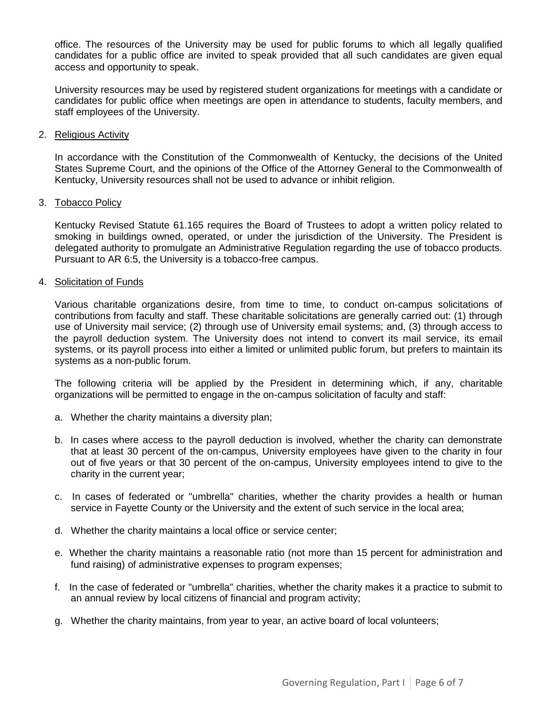office. The resources of the University may be used for public forums to which all legally qualified candidates for a public office are invited to speak provided that all such candidates are given equal access and opportunity to speak.

University resources may be used by registered student organizations for meetings with a candidate or candidates for public office when meetings are open in attendance to students, faculty members, and staff employees of the University.

#### <span id="page-5-0"></span>2. Religious Activity

In accordance with the Constitution of the Commonwealth of Kentucky, the decisions of the United States Supreme Court, and the opinions of the Office of the Attorney General to the Commonwealth of Kentucky, University resources shall not be used to advance or inhibit religion.

#### <span id="page-5-1"></span>3. Tobacco Policy

Kentucky Revised Statute 61.165 requires the Board of Trustees to adopt a written policy related to smoking in buildings owned, operated, or under the jurisdiction of the University. The President is delegated authority to promulgate an Administrative Regulation regarding the use of tobacco products. Pursuant to AR 6:5, the University is a tobacco-free campus.

#### <span id="page-5-2"></span>4. Solicitation of Funds

Various charitable organizations desire, from time to time, to conduct on-campus solicitations of contributions from faculty and staff. These charitable solicitations are generally carried out: (1) through use of University mail service; (2) through use of University email systems; and, (3) through access to the payroll deduction system. The University does not intend to convert its mail service, its email systems, or its payroll process into either a limited or unlimited public forum, but prefers to maintain its systems as a non-public forum.

The following criteria will be applied by the President in determining which, if any, charitable organizations will be permitted to engage in the on-campus solicitation of faculty and staff:

- a. Whether the charity maintains a diversity plan;
- b. In cases where access to the payroll deduction is involved, whether the charity can demonstrate that at least 30 percent of the on-campus, University employees have given to the charity in four out of five years or that 30 percent of the on-campus, University employees intend to give to the charity in the current year;
- c. In cases of federated or "umbrella" charities, whether the charity provides a health or human service in Fayette County or the University and the extent of such service in the local area;
- d. Whether the charity maintains a local office or service center;
- e. Whether the charity maintains a reasonable ratio (not more than 15 percent for administration and fund raising) of administrative expenses to program expenses;
- f. In the case of federated or "umbrella" charities, whether the charity makes it a practice to submit to an annual review by local citizens of financial and program activity;
- g. Whether the charity maintains, from year to year, an active board of local volunteers;